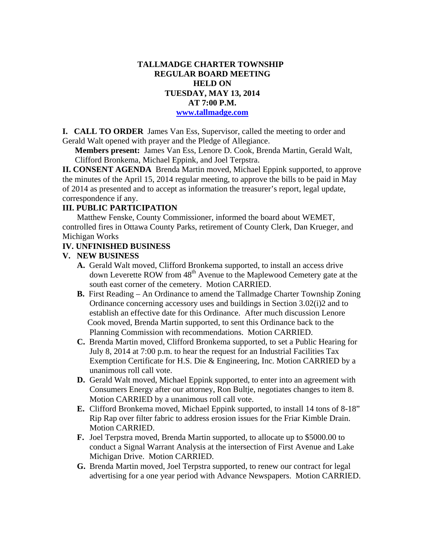## **TALLMADGE CHARTER TOWNSHIP REGULAR BOARD MEETING HELD ON TUESDAY, MAY 13, 2014 AT 7:00 P.M. www.tallmadge.com**

**I. CALL TO ORDER** James Van Ess, Supervisor, called the meeting to order and Gerald Walt opened with prayer and the Pledge of Allegiance.

**Members present:** James Van Ess, Lenore D. Cook, Brenda Martin, Gerald Walt, Clifford Bronkema, Michael Eppink, and Joel Terpstra.

**II. CONSENT AGENDA** Brenda Martin moved, Michael Eppink supported, to approve the minutes of the April 15, 2014 regular meeting, to approve the bills to be paid in May of 2014 as presented and to accept as information the treasurer's report, legal update, correspondence if any.

# **III. PUBLIC PARTICIPATION**

Matthew Fenske, County Commissioner, informed the board about WEMET, controlled fires in Ottawa County Parks, retirement of County Clerk, Dan Krueger, and Michigan Works

#### **IV. UNFINISHED BUSINESS**

## **V. NEW BUSINESS**

- **A.** Gerald Walt moved, Clifford Bronkema supported, to install an access drive down Leverette ROW from 48th Avenue to the Maplewood Cemetery gate at the south east corner of the cemetery. Motion CARRIED.
- **B.** First Reading An Ordinance to amend the Tallmadge Charter Township Zoning Ordinance concerning accessory uses and buildings in Section 3.02(i)2 and to establish an effective date for this Ordinance. After much discussion Lenore Cook moved, Brenda Martin supported, to sent this Ordinance back to the Planning Commission with recommendations. Motion CARRIED.
- **C.** Brenda Martin moved, Clifford Bronkema supported, to set a Public Hearing for July 8, 2014 at 7:00 p.m. to hear the request for an Industrial Facilities Tax Exemption Certificate for H.S. Die & Engineering, Inc. Motion CARRIED by a unanimous roll call vote.
- **D.** Gerald Walt moved, Michael Eppink supported, to enter into an agreement with Consumers Energy after our attorney, Ron Bultje, negotiates changes to item 8. Motion CARRIED by a unanimous roll call vote.
- **E.** Clifford Bronkema moved, Michael Eppink supported, to install 14 tons of 8-18" Rip Rap over filter fabric to address erosion issues for the Friar Kimble Drain. Motion CARRIED.
- **F.** Joel Terpstra moved, Brenda Martin supported, to allocate up to \$5000.00 to conduct a Signal Warrant Analysis at the intersection of First Avenue and Lake Michigan Drive. Motion CARRIED.
- **G.** Brenda Martin moved, Joel Terpstra supported, to renew our contract for legal advertising for a one year period with Advance Newspapers. Motion CARRIED.